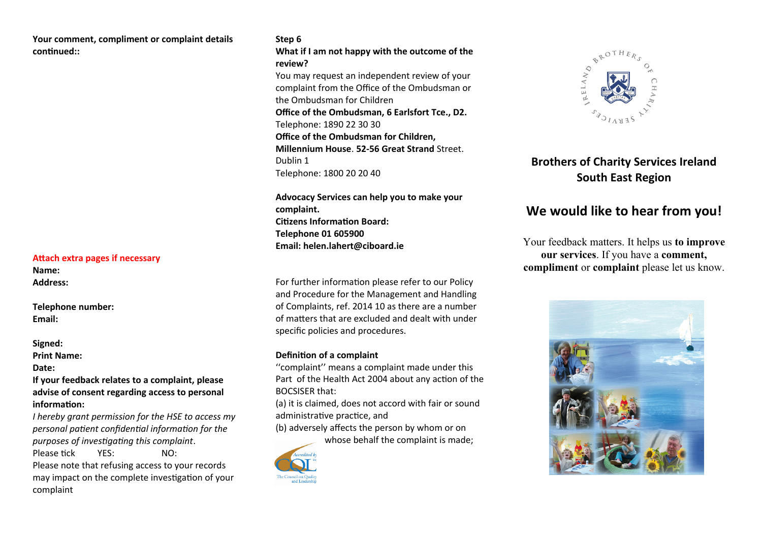#### **Your comment, compliment or complaint details continued::**

#### **Attach extra pages if necessary**

**Name: Address:**

**Telephone number: Email:**

#### **Signed:**

**Print Name:** 

**Date:**

**If your feedback relates to a complaint, please** advise of consent regarding access to personal  $information:$ 

*I hereby grant permission for the HSE to access my personal patent confiental informaton for the purposes of investigating this complaint.* Please tick YES: NO:

Please note that refusing access to your records may impact on the complete investigation of your complaint

#### **Step 6**

**What if I am not happy with the outcome of the review?**

You may request an independent review of your complaint from the Office of the Ombudsman or the Ombudsman for Children **Office of the Ombudsman, 6 Earlsfort Tce., D2.** Telephone: 1890 22 30 30 **Office of the Ombudsman for Children. Millennium House**. **5s-56 Great Strand** Street. Dublin 1 Telephone: 1800 20 20 40

**Advocacp Services can help pou to make pour**  complaint. **Citizens Information Board: Telephone 01 605900 Email: helen.lahert@ciboard.je** 

For further information please refer to our Policy and Procedure for the Management and Handling of Complaints, ref. 2014 10 as there are a number of matters that are excluded and dealt with under specific policies and procedures.

#### **Definition of a complaint**

"complaint" means a complaint made under this Part of the Health Act 2004 about any action of the BOCSISER that:

(a) it is claimed, does not accord with fair or sound administrative practice, and

(b) adversely affects the person by whom or on whose behalf the complaint is made:





## **Brothers of Charity Services Ireland South East Region**

# We would like to hear from you!

Your feedback matters. It helps us **to improve our services**. If you have a **comment, compliment** or **complaint** please let us know.